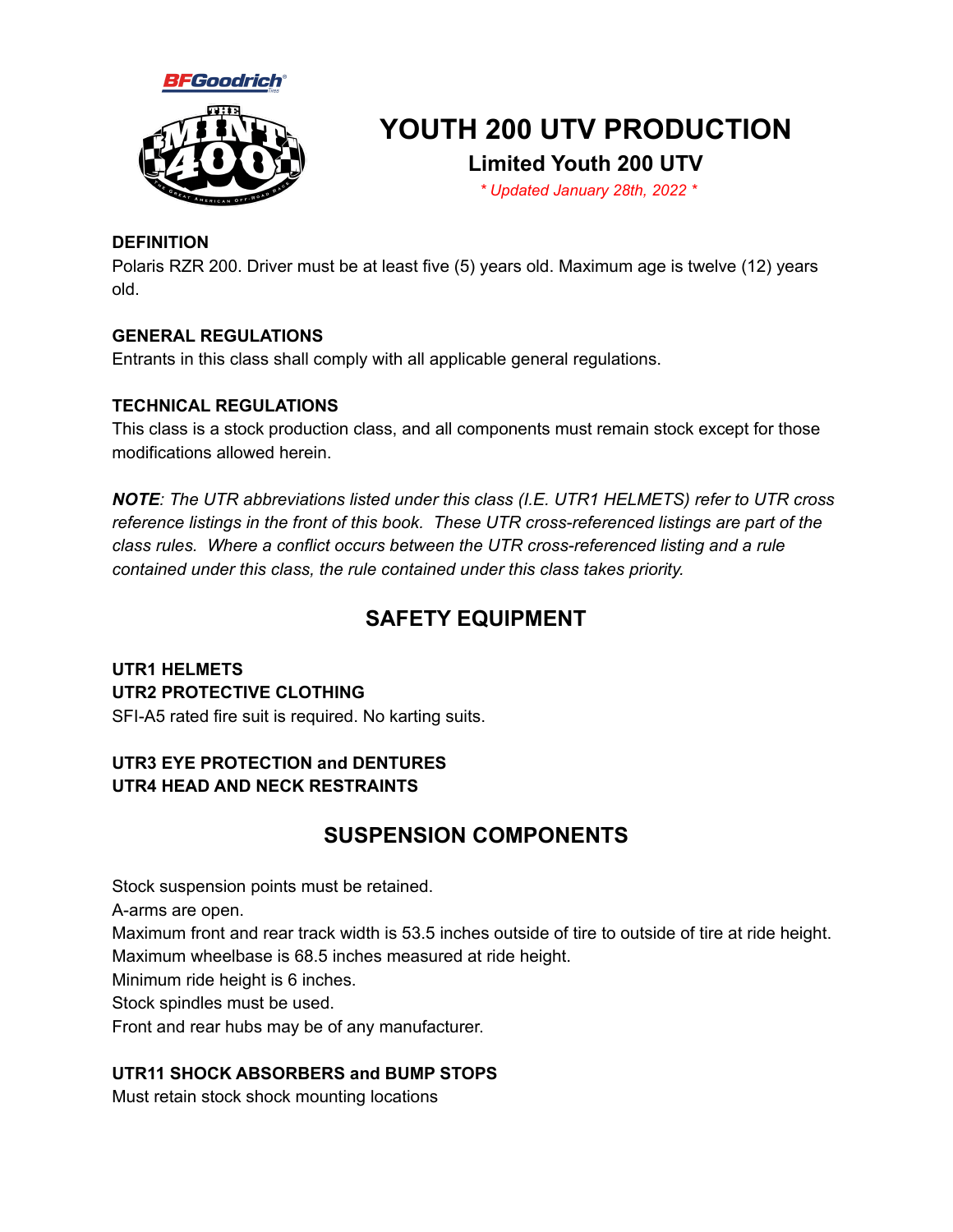



# **YOUTH 200 UTV PRODUCTION**

### **Limited Youth 200 UTV**

*\* Updated January 28th, 2022 \**

#### **DEFINITION**

Polaris RZR 200. Driver must be at least five (5) years old. Maximum age is twelve (12) years old.

#### **GENERAL REGULATIONS**

Entrants in this class shall comply with all applicable general regulations.

#### **TECHNICAL REGULATIONS**

This class is a stock production class, and all components must remain stock except for those modifications allowed herein.

*NOTE: The UTR abbreviations listed under this class (I.E. UTR1 HELMETS) refer to UTR cross reference listings in the front of this book. These UTR cross-referenced listings are part of the class rules. Where a conflict occurs between the UTR cross-referenced listing and a rule contained under this class, the rule contained under this class takes priority.*

# **SAFETY EQUIPMENT**

**UTR1 HELMETS UTR2 PROTECTIVE CLOTHING** SFI-A5 rated fire suit is required. No karting suits.

#### **UTR3 EYE PROTECTION and DENTURES UTR4 HEAD AND NECK RESTRAINTS**

## **SUSPENSION COMPONENTS**

Stock suspension points must be retained.

A-arms are open.

Maximum front and rear track width is 53.5 inches outside of tire to outside of tire at ride height. Maximum wheelbase is 68.5 inches measured at ride height.

Minimum ride height is 6 inches.

Stock spindles must be used.

Front and rear hubs may be of any manufacturer.

#### **UTR11 SHOCK ABSORBERS and BUMP STOPS**

Must retain stock shock mounting locations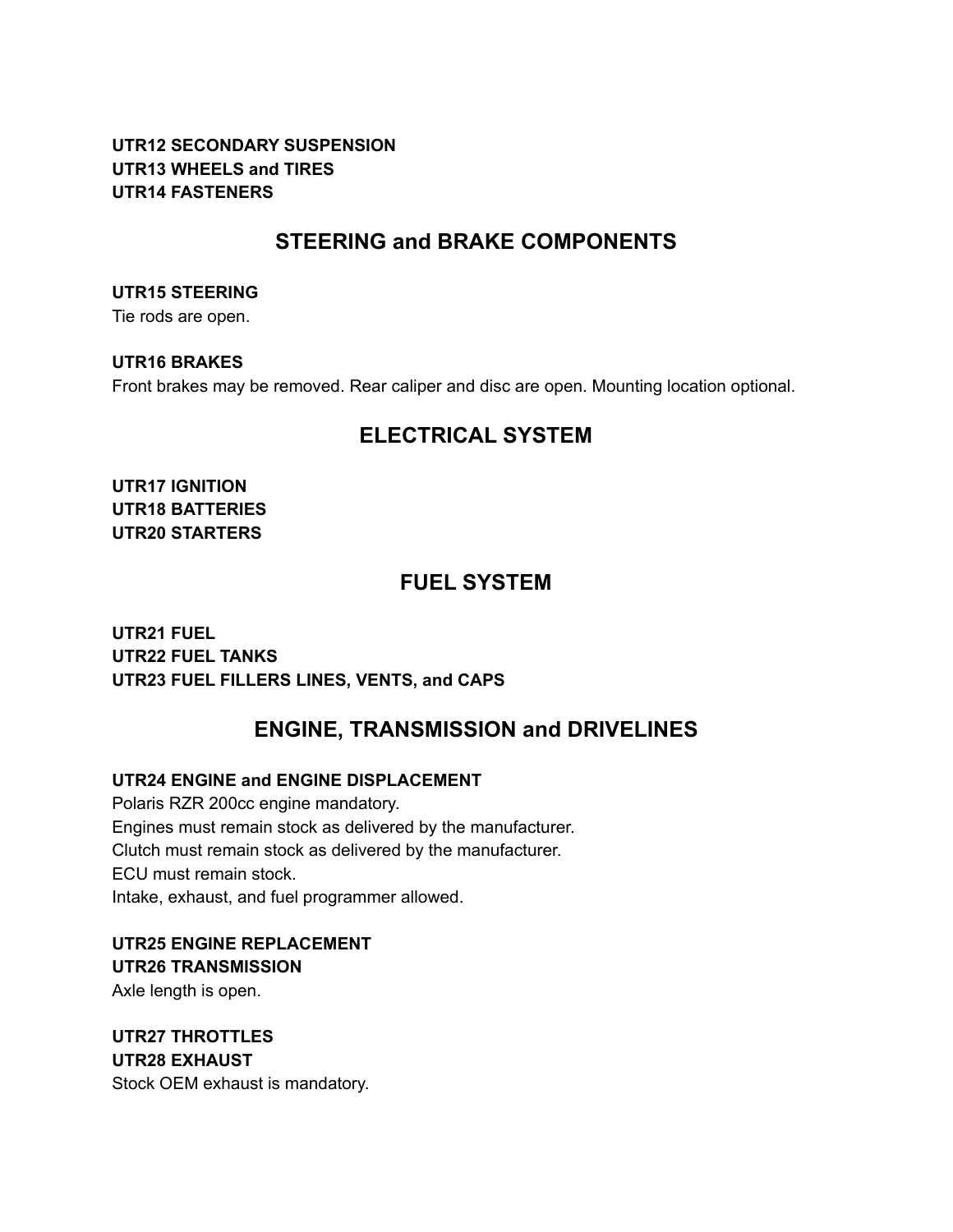#### **UTR12 SECONDARY SUSPENSION UTR13 WHEELS and TIRES UTR14 FASTENERS**

### **STEERING and BRAKE COMPONENTS**

**UTR15 STEERING**

Tie rods are open.

**UTR16 BRAKES**

Front brakes may be removed. Rear caliper and disc are open. Mounting location optional.

## **ELECTRICAL SYSTEM**

**UTR17 IGNITION UTR18 BATTERIES UTR20 STARTERS**

### **FUEL SYSTEM**

**UTR21 FUEL UTR22 FUEL TANKS UTR23 FUEL FILLERS LINES, VENTS, and CAPS**

# **ENGINE, TRANSMISSION and DRIVELINES**

#### **UTR24 ENGINE and ENGINE DISPLACEMENT**

Polaris RZR 200cc engine mandatory. Engines must remain stock as delivered by the manufacturer. Clutch must remain stock as delivered by the manufacturer. ECU must remain stock. Intake, exhaust, and fuel programmer allowed.

**UTR25 ENGINE REPLACEMENT UTR26 TRANSMISSION** Axle length is open.

**UTR27 THROTTLES UTR28 EXHAUST** Stock OEM exhaust is mandatory.